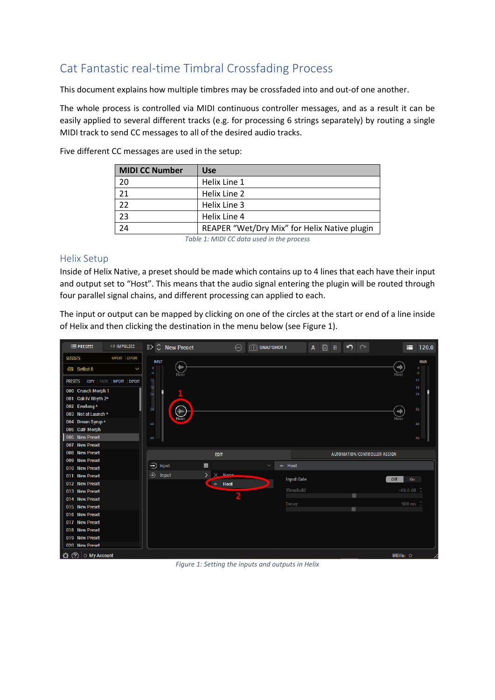# Cat Fantastic real-time Timbral Crossfading Process

This document explains how multiple timbres may be crossfaded into and out-of one another.

The whole process is controlled via MIDI continuous controller messages, and as a result it can be easily applied to several different tracks (e.g. for processing 6 strings separately) by routing a single MIDI track to send CC messages to all of the desired audio tracks.

| <b>MIDI CC Number</b>                     | <b>Use</b>                                   |  |  |  |
|-------------------------------------------|----------------------------------------------|--|--|--|
| 20                                        | Helix Line 1                                 |  |  |  |
| 21                                        | Helix Line 2                                 |  |  |  |
| 22                                        | Helix Line 3                                 |  |  |  |
| 23                                        | Helix Line 4                                 |  |  |  |
| $\overline{24}$                           | REAPER "Wet/Dry Mix" for Helix Native plugin |  |  |  |
| Table 1: MIDI CC data used in the process |                                              |  |  |  |

Five different CC messages are used in the setup:

*Table 1: MIDI CC data used in the process*

### Helix Setup

Inside of Helix Native, a preset should be made which contains up to 4 lines that each have their input and output set to "Host". This means that the audio signal entering the plugin will be routed through four parallel signal chains, and different processing can applied to each.

The input or output can be mapped by clicking on one of the circles at the start or end of a line inside of Helix and then clicking the destination in the menu below (see Figure 1).



*Figure 1: Setting the inputs and outputs in Helix*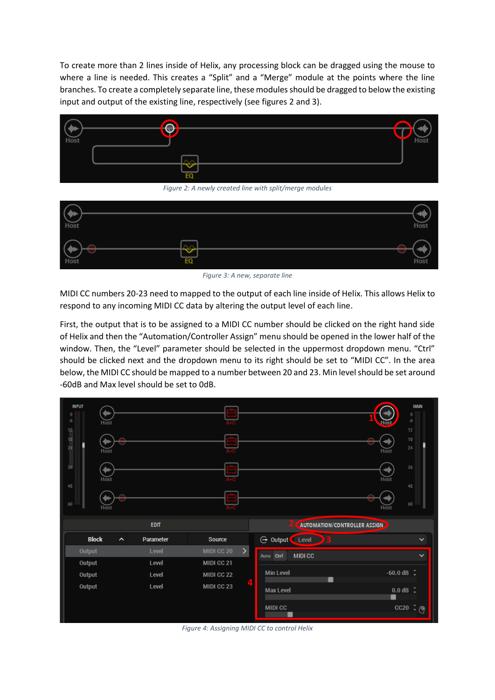To create more than 2 lines inside of Helix, any processing block can be dragged using the mouse to where a line is needed. This creates a "Split" and a "Merge" module at the points where the line branches. To create a completely separate line, these modules should be dragged to below the existing input and output of the existing line, respectively (see figures 2 and 3).



*Figure 2: A newly created line with split/merge modules*



*Figure 3: A new, separate line*

MIDI CC numbers 20-23 need to mapped to the output of each line inside of Helix. This allows Helix to respond to any incoming MIDI CC data by altering the output level of each line.

First, the output that is to be assigned to a MIDI CC number should be clicked on the right hand side of Helix and then the "Automation/Controller Assign" menu should be opened in the lower half of the window. Then, the "Level" parameter should be selected in the uppermost dropdown menu. "Ctrl" should be clicked next and the dropdown menu to its right should be set to "MIDI CC". In the area below, the MIDI CC should be mapped to a number between 20 and 23. Min level should be set around -60dB and Max level should be set to 0dB.

| <b>INPUT</b><br>$\pmb{0}$<br>-6<br>12<br>18<br>24<br>36<br>48 | 业业<br>Host<br>业业<br><b>Host</b><br>咖<br>Host<br>中国 |             |               | ≘<br>═<br>Ξ<br>Ξ |                                               | Hos<br><b>ATO</b><br>Host<br>神师<br>Host<br>神順 | <b>MAIN</b><br>$\pmb{0}$<br>$\ddot{\phantom{a}}$<br>12<br>18<br>24<br>36<br>48 |
|---------------------------------------------------------------|----------------------------------------------------|-------------|---------------|------------------|-----------------------------------------------|-----------------------------------------------|--------------------------------------------------------------------------------|
| 60                                                            | Host                                               | <b>EDIT</b> |               |                  | 20<br><b>AUTOMATION/CONTROLLER ASSIGN&gt;</b> | Host                                          | $60\,$                                                                         |
| <b>Block</b>                                                  | $\hat{\phantom{a}}$                                | Parameter   | <b>Source</b> |                  | <b>G</b> Output Level<br>Ę.                   |                                               | $\checkmark$                                                                   |
| Output                                                        |                                                    | Level       | MIDI CC 20    | $\mathcal{P}$    | <b>MIDICC</b><br>Auto Ctrl                    |                                               | $\checkmark$                                                                   |
| Output                                                        |                                                    | Level       | MIDI CC 21    |                  |                                               |                                               |                                                                                |
| Output                                                        |                                                    | Level       | MIDI CC 22    |                  | <b>Min Level</b><br>٠                         | $-60.0$ dB $\hat{ }$                          |                                                                                |
| Output                                                        |                                                    | Level       | MIDI CC 23    |                  | <b>Max Level</b><br><b>MIDI CC</b>            | $0.0$ dB $\hat{ }$                            | $cc20 - Q$                                                                     |
|                                                               |                                                    |             |               |                  |                                               |                                               |                                                                                |

*Figure 4: Assigning MIDI CC to control Helix*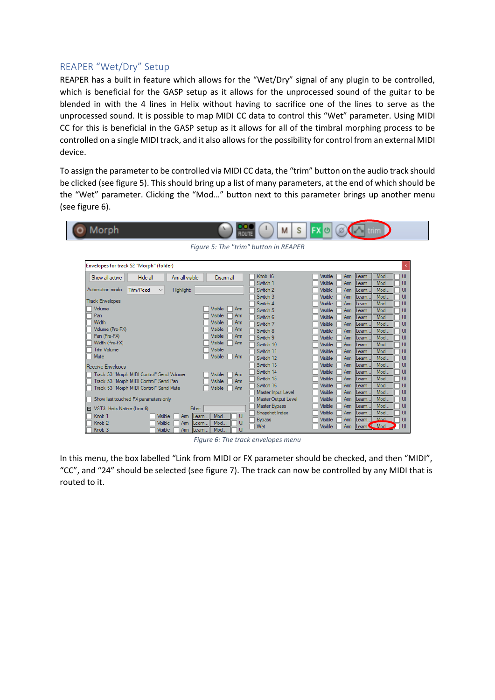### REAPER "Wet/Dry" Setup

REAPER has a built in feature which allows for the "Wet/Dry" signal of any plugin to be controlled, which is beneficial for the GASP setup as it allows for the unprocessed sound of the guitar to be blended in with the 4 lines in Helix without having to sacrifice one of the lines to serve as the unprocessed sound. It is possible to map MIDI CC data to control this "Wet" parameter. Using MIDI CC for this is beneficial in the GASP setup as it allows for all of the timbral morphing process to be controlled on a single MIDI track, and it also allows for the possibility for control from an external MIDI device.

To assign the parameter to be controlled via MIDI CC data, the "trim" button on the audio track should be clicked (see figure 5). This should bring up a list of many parameters, at the end of which should be the "Wet" parameter. Clicking the "Mod…" button next to this parameter brings up another menu (see figure 6).

| Morph                                     |           |            |                 | О<br>ROUTE                       | σ<br>М                                    | $\mathsf{FX} \circ \mathsf{O}$ $\mathsf{O}$ $\mathsf{C}$ $\mathsf{I}$ trim<br>S |                    |
|-------------------------------------------|-----------|------------|-----------------|----------------------------------|-------------------------------------------|---------------------------------------------------------------------------------|--------------------|
| Figure 5: The "trim" button in REAPER     |           |            |                 |                                  |                                           |                                                                                 |                    |
|                                           |           |            |                 |                                  |                                           |                                                                                 |                    |
| Envelopes for track 52 "Morph" (folder)   |           |            |                 |                                  |                                           |                                                                                 | ×                  |
| Show all active                           | Hide all  |            | Arm all visible | Disam all                        | Knob <sub>16</sub>                        | Mod.<br>Visible<br>Am<br>Leam.                                                  | $\cup$             |
|                                           |           |            |                 |                                  | Switch 1                                  | Visible<br>Mod.<br>Arm<br>Leam                                                  | UI                 |
| Automation mode:                          | Trim/Read | Highlight: |                 |                                  | Switch 2                                  | Visible<br>Mod.<br>Am<br>Leam.                                                  | UI                 |
| <b>Track Envelopes</b>                    |           |            |                 |                                  | Switch 3                                  | Visible<br>Mod.<br>Am<br>Leam.                                                  | UI                 |
|                                           |           |            |                 |                                  | Switch 4                                  | Mod<br>Visible<br>Am<br>Leam.                                                   | UI                 |
| Volume                                    |           |            |                 | Visible<br>Arm                   | Switch 5                                  | Mod.<br>Visible<br>Am<br>leam.                                                  | UI                 |
| Pan<br>Width                              |           |            |                 | Visible<br>Arm<br><b>Visible</b> | Switch 6                                  | Mod<br>Visible<br>Arm<br>Leam                                                   | UI                 |
| Volume (Pre-FX)                           |           |            |                 | Arm<br>Visible<br>Arm            | Switch 7                                  | Visible<br>Am<br>Mod.<br>Leam.                                                  | UI                 |
| Pan (Pre-FX)                              |           |            |                 | Visible<br>Am                    | Switch 8                                  | Visible<br>Mod.<br>Am<br>Leam.                                                  | UI                 |
| Width (Pre-FX)                            |           |            |                 | <b>Visible</b><br>Arm            | Switch 9                                  | Mod.<br>Visible<br>Am<br>Leam.                                                  | $\mathbf{U}$       |
| <b>Trim Volume</b>                        |           |            |                 | <b>Visible</b>                   | Switch 10                                 | Mod.<br>Visible<br>Arm<br>leam.                                                 | UI                 |
| Mute                                      |           |            |                 | Visible<br>Am                    | Switch 11                                 | Mod.<br>Visible<br>Arm<br>Leam                                                  | UI                 |
|                                           |           |            |                 |                                  | Switch 12                                 | Visible<br>Mod.<br>Am<br>Leam.                                                  | $\cup$             |
| Receive Envelopes                         |           |            |                 |                                  | Switch 13                                 | Visible<br>Mod.<br>Arm<br>Leam.                                                 | UI                 |
| Track 53 "Morph MIDI Control" Send Volume |           |            |                 | Visible<br>Arm                   | Switch 14                                 | Visible<br>Mod.<br>Am<br>Leam.                                                  | UI                 |
| Track 53 "Morph MIDI Control" Send Pan    |           |            |                 | Visible<br>Arm                   | Switch 15<br>Switch 16                    | Mod.<br>Visible<br>Am<br>eam.<br>Mod.                                           | UI<br>$\mathbf{U}$ |
| Track 53 "Morph MIDI Control" Send Mute   |           |            |                 | Visible<br>Arm                   |                                           | Visible<br>Am<br>Leam                                                           | UI                 |
| Show last touched FX parameters only      |           |            |                 |                                  | Master Input Level<br>Master Output Level | Visible<br>Mod.<br>Am<br>Leam.<br>Mod.<br>Visible<br>Am                         | $\mathsf{U}$       |
|                                           |           |            |                 |                                  | <b>Master Bypass</b>                      | Leam.<br>Visible<br>Mod<br>Arm                                                  | $\cup$             |
| □ VST3: Helix Native (Line 6)             |           |            | Filter:         |                                  | Snapshot Index                            | Leam<br>Visible<br>Mod.<br>Arm<br>eam.                                          | $\cup$             |
| Knob <sub>1</sub>                         |           | Visible    | Arm<br>Leam.    | Mod<br>UI                        | <b>Bypass</b>                             | <b>Visible</b><br>Mod<br>Am<br>Leam.                                            | Ш                  |
| Knob <sub>2</sub>                         |           | Visible    | Am<br>Leam      | Mod.<br>UI                       | Wet                                       | Learn. U Mod<br>Visible<br>Arm                                                  | Ш                  |
| Knob <sub>3</sub>                         |           | Visible    | Arm<br>Leam.    | UI<br>Mod.                       |                                           |                                                                                 |                    |

*Figure 6: The track envelopes menu*

In this menu, the box labelled "Link from MIDI or FX parameter should be checked, and then "MIDI", "CC", and "24" should be selected (see figure 7). The track can now be controlled by any MIDI that is routed to it.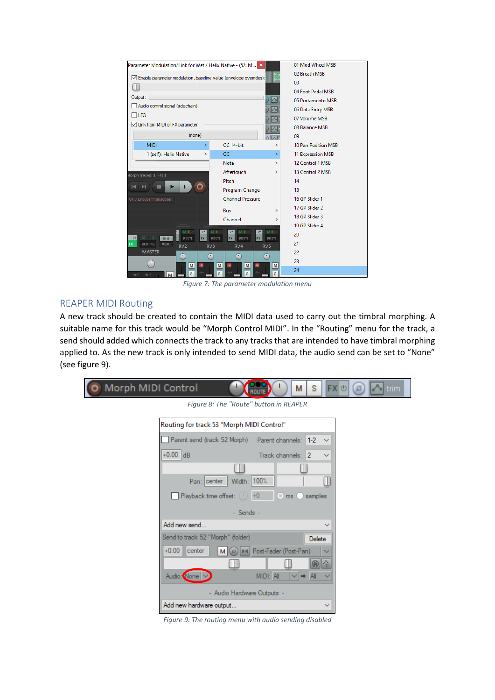

*Figure 7: The parameter modulation menu*

## REAPER MIDI Routing

A new track should be created to contain the MIDI data used to carry out the timbral morphing. A suitable name for this track would be "Morph Control MIDI". In the "Routing" menu for the track, a send should added which connects the track to any tracks that are intended to have timbral morphing applied to. As the new track is only intended to send MIDI data, the audio send can be set to "None" (see figure 9).

| Morph MIDI Control<br>$\circ$ |                                                                               | M                                 | s            | FX ①<br>$\blacksquare$ trim<br>$(\varnothing)$ |
|-------------------------------|-------------------------------------------------------------------------------|-----------------------------------|--------------|------------------------------------------------|
|                               | Figure 8: The "Route" button in REAPER                                        |                                   |              |                                                |
|                               | Routing for track 53 "Morph MIDI Control"                                     |                                   |              |                                                |
|                               | Parent send (track 52 Morph) Parent channels: 1-2                             |                                   | $\checkmark$ |                                                |
|                               | $+0.00$ dB                                                                    | Track channels: 2                 | $\checkmark$ |                                                |
|                               |                                                                               |                                   |              |                                                |
|                               | Width: 100%<br>Pan: center                                                    |                                   |              |                                                |
|                               | <b>Playback time offset:</b> $\begin{pmatrix} 1 & +0 \\ -1 & 1 \end{pmatrix}$ | $\bigcirc$ ms $\bigcirc$          | samples      |                                                |
|                               | - Sends -                                                                     |                                   |              |                                                |
|                               | Add new send                                                                  |                                   | $\checkmark$ |                                                |
|                               | Send to track 52 "Morph" (folder)                                             |                                   | Delete       |                                                |
|                               | $+0.00$<br>center<br>$(\varnothing)$<br>M                                     | <b>MI Post-Fader (Post-Pan)</b>   | $\checkmark$ |                                                |
|                               |                                                                               |                                   | G            |                                                |
|                               | Audio: None                                                                   | MIDI: All<br>$\vee$ $\Rightarrow$ | All          |                                                |
|                               | - Audio Hardware Outputs -                                                    |                                   |              |                                                |
|                               | Add new hardware output                                                       |                                   | $\checkmark$ |                                                |

*Figure 9: The routing menu with audio sending disabled*